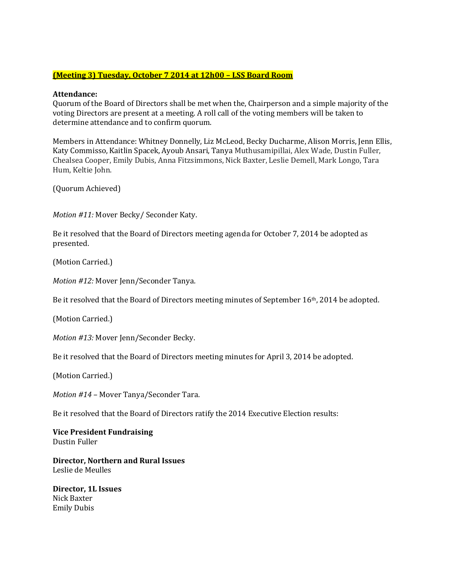### **(Meeting 3) Tuesday, October 7 2014 at 12h00 – LSS Board Room**

### **Attendance:**

Quorum of the Board of Directors shall be met when the, Chairperson and a simple majority of the voting Directors are present at a meeting. A roll call of the voting members will be taken to determine attendance and to confirm quorum.

Members in Attendance: Whitney Donnelly, Liz McLeod, Becky Ducharme, Alison Morris, Jenn Ellis, Katy Commisso, Kaitlin Spacek, Ayoub Ansari, Tanya Muthusamipillai, Alex Wade, Dustin Fuller, Chealsea Cooper, Emily Dubis, Anna Fitzsimmons, Nick Baxter, Leslie Demell, Mark Longo, Tara Hum, Keltie John.

(Quorum Achieved)

*Motion #11:* Mover Becky/ Seconder Katy.

Be it resolved that the Board of Directors meeting agenda for October 7, 2014 be adopted as presented.

(Motion Carried.)

*Motion #12:* Mover Jenn/Seconder Tanya.

Be it resolved that the Board of Directors meeting minutes of September 16th, 2014 be adopted.

(Motion Carried.)

*Motion #13:* Mover Jenn/Seconder Becky.

Be it resolved that the Board of Directors meeting minutes for April 3, 2014 be adopted.

(Motion Carried.)

*Motion #14 –* Mover Tanya/Seconder Tara.

Be it resolved that the Board of Directors ratify the 2014 Executive Election results:

**Vice President Fundraising** Dustin Fuller

**Director, Northern and Rural Issues** Leslie de Meulles

**Director, 1L Issues** Nick Baxter Emily Dubis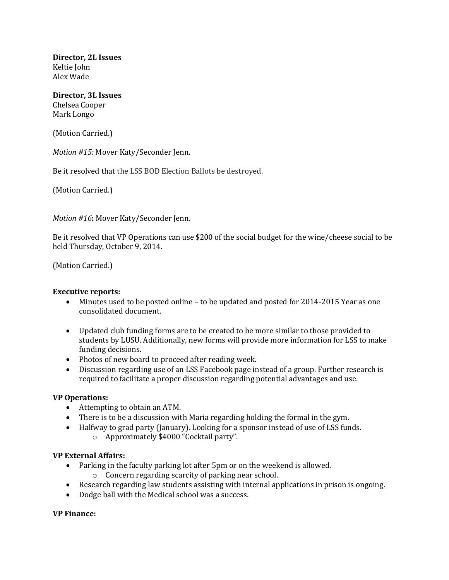**Director, 2L Issues** Keltie John Alex Wade

#### **Director, 3L Issues** Chelsea Cooper Mark Longo

(Motion Carried.)

*Motion #15:* Mover Katy/Seconder Jenn.

Be it resolved that the LSS BOD Election Ballots be destroyed.

(Motion Carried.)

*Motion #16***:** Mover Katy/Seconder Jenn.

Be it resolved that VP Operations can use \$200 of the social budget for the wine/cheese social to be held Thursday, October 9, 2014.

(Motion Carried.)

#### **Executive reports:**

- Minutes used to be posted online to be updated and posted for 2014-2015 Year as one consolidated document.
- Updated club funding forms are to be created to be more similar to those provided to students by LUSU. Additionally, new forms will provide more information for LSS to make funding decisions.
- Photos of new board to proceed after reading week.
- Discussion regarding use of an LSS Facebook page instead of a group. Further research is required to facilitate a proper discussion regarding potential advantages and use.

# **VP Operations:**

- Attempting to obtain an ATM.
- There is to be a discussion with Maria regarding holding the formal in the gym.
- Halfway to grad party (January). Looking for a sponsor instead of use of LSS funds.
	- o Approximately \$4000 "Cocktail party".

#### **VP External Affairs:**

- Parking in the faculty parking lot after 5pm or on the weekend is allowed.
	- o Concern regarding scarcity of parking near school.
- Research regarding law students assisting with internal applications in prison is ongoing.
- Dodge ball with the Medical school was a success.

#### **VP Finance:**